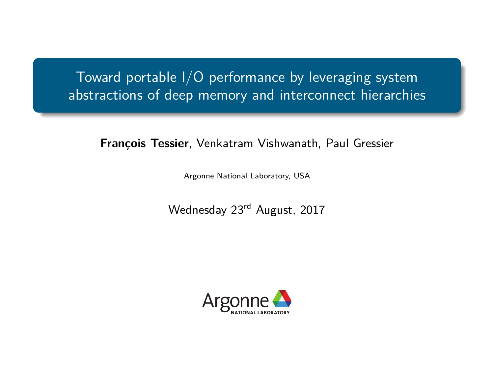Toward portable I/O performance by leveraging system abstractions of deep memory and interconnect hierarchies

**François Tessier**, Venkatram Vishwanath, Paul Gressier

Argonne National Laboratory, USA

Wednesday 23rd August, 2017

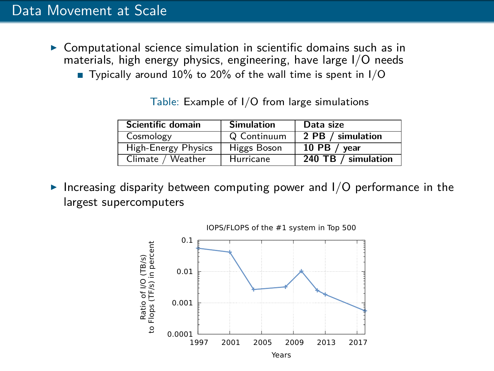- $\triangleright$  Computational science simulation in scientific domains such as in materials, high energy physics, engineering, have large I/O needs
	- Typically around 10% to 20% of the wall time is spent in  $1/O$

| Scientific domain   | <b>Simulation</b> | Data size           |
|---------------------|-------------------|---------------------|
| Cosmology           | Q Continuum       | 2 PB / simulation   |
| High-Energy Physics | Higgs Boson       | 10 PB / $vear$      |
| Climate / Weather   | Hurricane         | 240 TB / simulation |

Table: Example of I/O from large simulations

Increasing disparity between computing power and  $I/O$  performance in the largest supercomputers

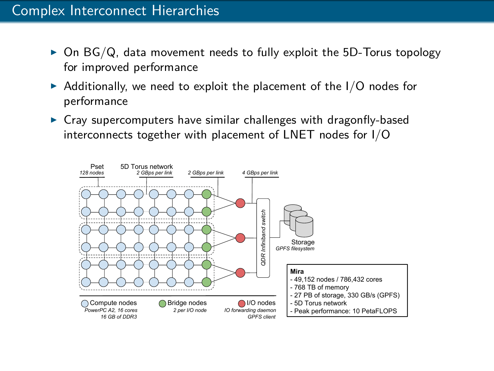- $\triangleright$  On BG/Q, data movement needs to fully exploit the 5D-Torus topology for improved performance
- $\triangleright$  Additionally, we need to exploit the placement of the I/O nodes for performance
- $\triangleright$  Cray supercomputers have similar challenges with dragonfly-based interconnects together with placement of LNET nodes for I/O

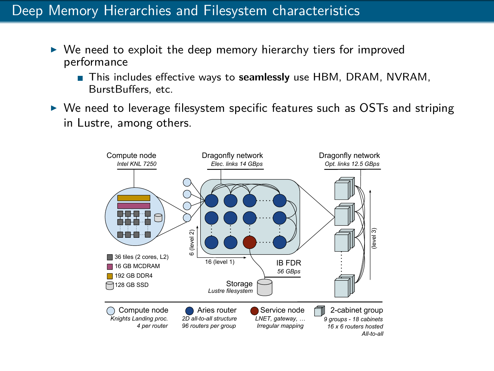## Deep Memory Hierarchies and Filesystem characteristics

- $\triangleright$  We need to exploit the deep memory hierarchy tiers for improved performance
	- This includes effective ways to **seamlessly** use HBM, DRAM, NVRAM, BurstBuffers, etc.
- $\triangleright$  We need to leverage filesystem specific features such as OSTs and striping in Lustre, among others.

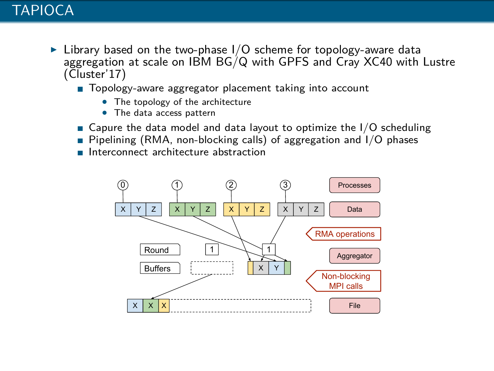- $\triangleright$  Library based on the two-phase I/O scheme for topology-aware data aggregation at scale on IBM BG/Q with GPFS and Cray XC40 with Lustre (Cluster'17)
	- Topology-aware aggregator placement taking into account
		- The topology of the architecture
		- The data access pattern
	- Gapure the data model and data layout to optimize the  $I/O$  scheduling
	- Pipelining (RMA, non-blocking calls) of aggregation and  $1/O$  phases
	- **Interconnect architecture abstraction**

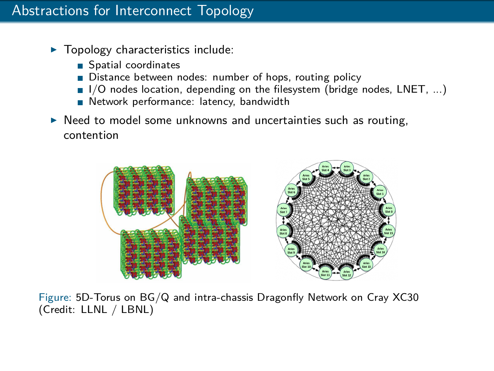## Abstractions for Interconnect Topology

- $\blacktriangleright$  Topology characteristics include:
	- Spatial coordinates
	- Distance between nodes: number of hops, routing policy
	- $\blacksquare$  I/O nodes location, depending on the filesystem (bridge nodes, LNET, ...)
	- Network performance: latency, bandwidth
- $\triangleright$  Need to model some unknowns and uncertainties such as routing, contention



Figure: 5D-Torus on BG/Q and intra-chassis Dragonfly Network on Cray XC30 (Credit: LLNL / LBNL)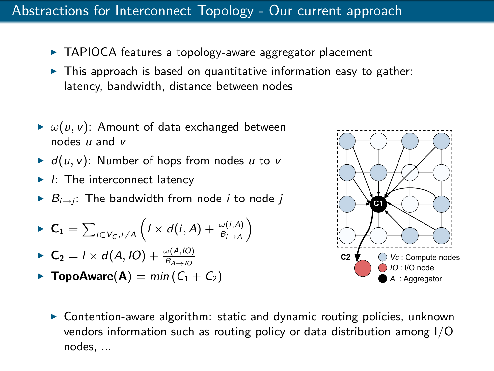#### Abstractions for Interconnect Topology - Our current approach

- $\triangleright$  TAPIOCA features a topology-aware aggregator placement
- $\triangleright$  This approach is based on quantitative information easy to gather: latency, bandwidth, distance between nodes
- $\blacktriangleright \omega(u, v)$ : Amount of data exchanged between nodes u and v
- $\blacktriangleright$   $d(u, v)$ : Number of hops from nodes u to v
- $\blacktriangleright$  *I*: The interconnect latency
- $B_{i\rightarrow i}$ : The bandwidth from node *i* to node *j*

$$
\blacktriangleright \mathbf{C_1} = \sum_{i \in V_C, i \neq A} \left( I \times d(i, A) + \frac{\omega(i, A)}{B_{i \to A}} \right)
$$

$$
\blacktriangleright \mathbf{C}_2 = I \times d(A, IO) + \frac{\omega(A, IO)}{B_{A \to IO}}
$$

**FopoAware**( $\bf{A}$ ) = min ( $C_1 + C_2$ )



 $\triangleright$  Contention-aware algorithm: static and dynamic routing policies, unknown vendors information such as routing policy or data distribution among I/O nodes, ...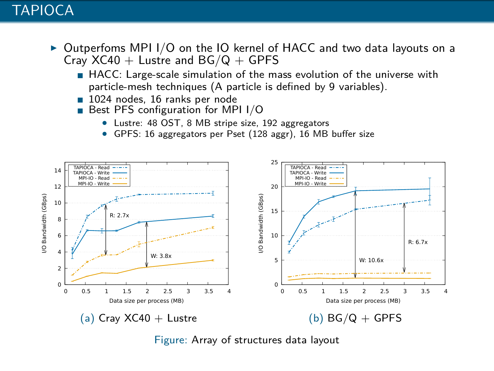#### **TAPIOCA**

- $\triangleright$  Outperfoms MPI I/O on the IO kernel of HACC and two data layouts on a Cray  $XC40 +$  Lustre and  $BG/Q + GPFS$ 
	- HACC: Large-scale simulation of the mass evolution of the universe with particle-mesh techniques (A particle is defined by 9 variables).
	- 1024 nodes, 16 ranks per node
	- Best PFS configuration for MPI I/O
		- Lustre: 48 OST, 8 MB stripe size, 192 aggregators
		- GPFS: 16 aggregators per Pset (128 aggr), 16 MB buffer size



Figure: Array of structures data layout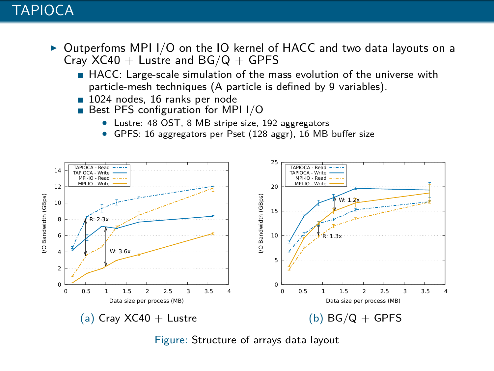#### **TAPIOCA**

- $\triangleright$  Outperfoms MPI I/O on the IO kernel of HACC and two data layouts on a Cray  $XC40 +$  Lustre and  $BG/Q + GPFS$ 
	- HACC: Large-scale simulation of the mass evolution of the universe with particle-mesh techniques (A particle is defined by 9 variables).
	- 1024 nodes, 16 ranks per node
	- Best PFS configuration for MPI I/O
		- Lustre: 48 OST, 8 MB stripe size, 192 aggregators
		- GPFS: 16 aggregators per Pset (128 aggr), 16 MB buffer size



Figure: Structure of arrays data layout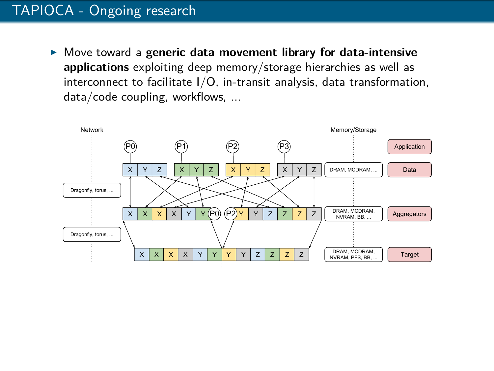# TAPIOCA - Ongoing research

**IDED** Move toward a generic data movement library for data-intensive **applications** exploiting deep memory/storage hierarchies as well as interconnect to facilitate I/O, in-transit analysis, data transformation, data/code coupling, workflows, ...

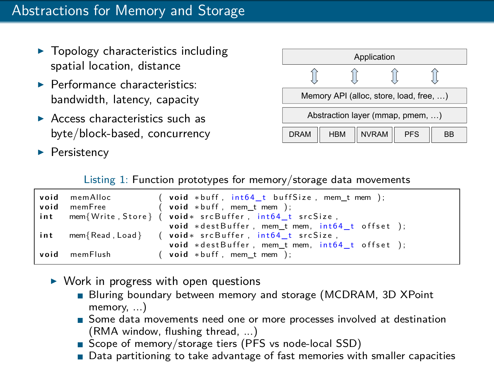- $\blacktriangleright$  Topology characteristics including spatial location, distance
- $\blacktriangleright$  Performance characteristics: bandwidth, latency, capacity
- $\triangleright$  Access characteristics such as byte/block-based, concurrency
- $\blacktriangleright$  Persistency



Listing 1: Function prototypes for memory/storage data movements

|      | void memAlloc | ( $void *buffer, int64 t bufferSize, mem t mem);$          |  |
|------|---------------|------------------------------------------------------------|--|
| void | memFree       | $(void * buffer, mem_t mem);$                              |  |
|      |               | int mem{Write, Store} ( void * srcBuffer, int64 t srcSize, |  |
|      |               | void *destBuffer, mem_t mem, int64_t offset );             |  |
| int  |               | mem{Read, Load} (void * srcBuffer, int64 t srcSize,        |  |
|      |               | void *destBuffer, mem t mem, int64 t offset );             |  |
| void | memFlush      | $(void * buffer, mem_t mem);$                              |  |

- $\triangleright$  Work in progress with open questions
	- Bluring boundary between memory and storage (MCDRAM, 3D XPoint memory...)
	- Some data movements need one or more processes involved at destination (RMA window, flushing thread, ...)
	- Scope of memory/storage tiers (PFS vs node-local SSD)
	- Data partitioning to take advantage of fast memories with smaller capacities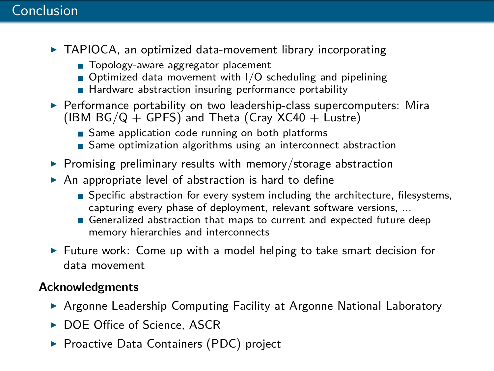#### Conclusion

- $\triangleright$  TAPIOCA, an optimized data-movement library incorporating
	- Topology-aware aggregator placement
	- $\blacksquare$  Optimized data movement with I/O scheduling and pipelining
	- Hardware abstraction insuring performance portability
- $\triangleright$  Performance portability on two leadership-class supercomputers: Mira (IBM  $BG/Q + GPFS$ ) and Theta (Cray  $XC40 + Lustre$ )
	- Same application code running on both platforms
	- Same optimization algorithms using an interconnect abstraction
- $\triangleright$  Promising preliminary results with memory/storage abstraction
- $\triangleright$  An appropriate level of abstraction is hard to define
	- Specific abstraction for every system including the architecture, filesystems, capturing every phase of deployment, relevant software versions, ...
	- Generalized abstraction that maps to current and expected future deep memory hierarchies and interconnects
- $\triangleright$  Future work: Come up with a model helping to take smart decision for data movement

#### **Acknowledgments**

- ▶ Argonne Leadership Computing Facility at Argonne National Laboratory
- ▶ DOE Office of Science, ASCR
- ▶ Proactive Data Containers (PDC) project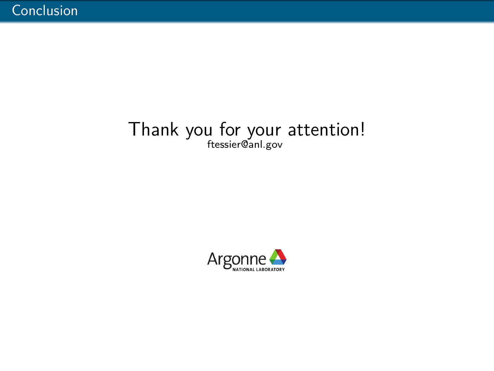# Thank you for your attention! ftessier@anl.gov